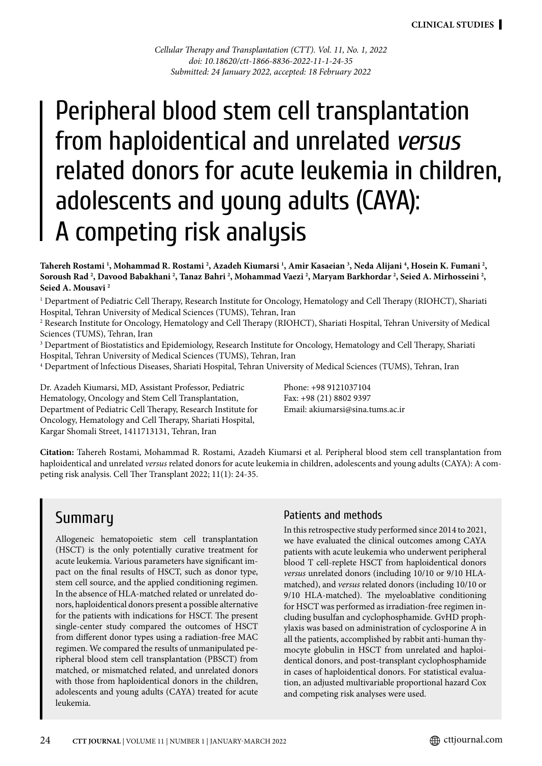*Cellular Therapy and Transplantation (CTT). Vol. 11, No. 1, 2022 doi: 10.18620/ctt-1866-8836-2022-11-1-24-35 Submitted: 24 January 2022, accepted: 18 February 2022*

# Peripheral blood stem cell transplantation from haploidentical and unrelated *versus* related donors for acute leukemia in children, adolescents and young adults (CAYA): A competing risk analysis

Tahereh Rostami <sup>1</sup>, Mohammad R. Rostami <sup>2</sup>, Azadeh Kiumarsi <sup>1</sup>, Amir Kasaeian <sup>3</sup>, Neda Alijani <sup>4</sup>, Hosein K. Fumani <sup>2</sup>, **Soroush Rad 2 , Davood Babakhani 2 , Tanaz Bahri 2 , Mohammad Vaezi 2 , Maryam Barkhordar 2 , Seied A. Mirhosseini 2 , Seied A. Mousavi 2**

1 Department of Pediatric Cell Therapy, Research Institute for Oncology, Hematology and Cell Therapy (RIOHCT), Shariati Hospital, Tehran University of Medical Sciences (TUMS), Tehran, Iran

2 Research Institute for Oncology, Hematology and Cell Therapy (RIOHCT), Shariati Hospital, Tehran University of Medical Sciences (TUMS), Tehran, Iran

 $\rm{^3}$  Department of Biostatistics and Epidemiology, Research Institute for Oncology, Hematology and Cell Therapy, Shariati Hospital, Tehran University of Medical Sciences (TUMS), Tehran, Iran

4 Department of lnfectious Diseases, Shariati Hospital, Tehran University of Medical Sciences (TUMS), Tehran, Iran

Dr. Azadeh Kiumarsi, MD, Assistant Professor, Pediatric Hematology, Oncology and Stem Cell Transplantation, Department of Pediatric Cell Therapy, Research Institute for Oncology, Hematology and Cell Therapy, Shariati Hospital, Kargar Shomali Street, 1411713131, Tehran, Iran

Phone: +98 9121037104 Fax: +98 (21) 8802 9397 Email: akiumarsi@sina.tums.ac.ir

**Citation:** Tahereh Rostami, Mohammad R. Rostami, Azadeh Kiumarsi et al. Peripheral blood stem cell transplantation from haploidentical and unrelated *versus* related donors for acute leukemia in children, adolescents and young adults (CAYA): A competing risk analysis. Cell Ther Transplant 2022; 11(1): 24-35.

# **Summary**

Allogeneic hematopoietic stem cell transplantation (HSCT) is the only potentially curative treatment for acute leukemia. Various parameters have significant impact on the final results of HSCT, such as donor type, stem cell source, and the applied conditioning regimen. In the absence of HLA-matched related or unrelated donors, haploidentical donors present a possible alternative for the patients with indications for HSCT. The present single-center study compared the outcomes of HSCT from different donor types using a radiation-free MAC regimen. We compared the results of unmanipulated peripheral blood stem cell transplantation (PBSCT) from matched, or mismatched related, and unrelated donors with those from haploidentical donors in the children, adolescents and young adults (CAYA) treated for acute leukemia.

### Patients and methods

In this retrospective study performed since 2014 to 2021, we have evaluated the clinical outcomes among CAYA patients with acute leukemia who underwent peripheral blood T cell-replete HSCT from haploidentical donors *versus* unrelated donors (including 10/10 or 9/10 HLAmatched), and *versus* related donors (including 10/10 or 9/10 HLA-matched). The myeloablative conditioning for HSCT was performed as irradiation-free regimen including busulfan and cyclophosphamide. GvHD prophylaxis was based on administration of cyclosporine A in all the patients, accomplished by rabbit anti-human thymocyte globulin in HSCT from unrelated and haploidentical donors, and post-transplant cyclophosphamide in cases of haploidentical donors. For statistical evaluation, an adjusted multivariable proportional hazard Cox and competing risk analyses were used.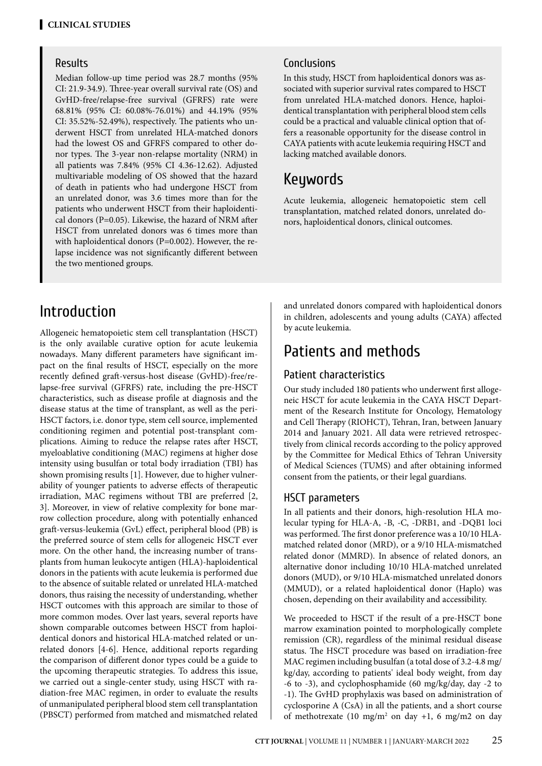### Results

Median follow-up time period was 28.7 months (95% CI: 21.9-34.9). Three-year overall survival rate (OS) and GvHD-free/relapse-free survival (GFRFS) rate were 68.81% (95% CI: 60.08%-76.01%) and 44.19% (95% CI: 35.52%-52.49%), respectively. The patients who underwent HSCT from unrelated HLA-matched donors had the lowest OS and GFRFS compared to other donor types. The 3-year non-relapse mortality (NRM) in all patients was 7.84% (95% CI 4.36-12.62). Adjusted multivariable modeling of OS showed that the hazard of death in patients who had undergone HSCT from an unrelated donor, was 3.6 times more than for the patients who underwent HSCT from their haploidentical donors (P=0.05). Likewise, the hazard of NRM after HSCT from unrelated donors was 6 times more than with haploidentical donors (P=0.002). However, the relapse incidence was not significantly different between the two mentioned groups.

# Introduction

Allogeneic hematopoietic stem cell transplantation (HSCT) is the only available curative option for acute leukemia nowadays. Many different parameters have significant impact on the final results of HSCT, especially on the more recently defined graft-versus-host disease (GvHD)-free/relapse-free survival (GFRFS) rate, including the pre-HSCT characteristics, such as disease profile at diagnosis and the disease status at the time of transplant, as well as the peri-HSCT factors, i.e. donor type, stem cell source, implemented conditioning regimen and potential post-transplant complications. Aiming to reduce the relapse rates after HSCT, myeloablative conditioning (MAC) regimens at higher dose intensity using busulfan or total body irradiation (TBI) has shown promising results [1]. However, due to higher vulnerability of younger patients to adverse effects of therapeutic irradiation, MAC regimens without TBI are preferred [2, 3]. Moreover, in view of relative complexity for bone marrow collection procedure, along with potentially enhanced graft-versus-leukemia (GvL) effect, peripheral blood (PB) is the preferred source of stem cells for allogeneic HSCT ever more. On the other hand, the increasing number of transplants from human leukocyte antigen (HLA)-haploidentical donors in the patients with acute leukemia is performed due to the absence of suitable related or unrelated HLA-matched donors, thus raising the necessity of understanding, whether HSCT outcomes with this approach are similar to those of more common modes. Over last years, several reports have shown comparable outcomes between HSCT from haploidentical donors and historical HLA-matched related or unrelated donors [4-6]. Hence, additional reports regarding the comparison of different donor types could be a guide to the upcoming therapeutic strategies. To address this issue, we carried out a single-center study, using HSCT with radiation-free MAC regimen, in order to evaluate the results of unmanipulated peripheral blood stem cell transplantation (PBSCT) performed from matched and mismatched related

## Conclusions

In this study, HSCT from haploidentical donors was associated with superior survival rates compared to HSCT from unrelated HLA-matched donors. Hence, haploidentical transplantation with peripheral blood stem cells could be a practical and valuable clinical option that offers a reasonable opportunity for the disease control in CAYA patients with acute leukemia requiring HSCT and lacking matched available donors.

# Keywords

Acute leukemia, allogeneic hematopoietic stem cell transplantation, matched related donors, unrelated donors, haploidentical donors, clinical outcomes.

and unrelated donors compared with haploidentical donors in children, adolescents and young adults (CAYA) affected by acute leukemia.

# Patients and methods

## Patient characteristics

Our study included 180 patients who underwent first allogeneic HSCT for acute leukemia in the CAYA HSCT Department of the Research Institute for Oncology, Hematology and Cell Therapy (RIOHCT), Tehran, Iran, between January 2014 and January 2021. All data were retrieved retrospectively from clinical records according to the policy approved by the Committee for Medical Ethics of Tehran University of Medical Sciences (TUMS) and after obtaining informed consent from the patients, or their legal guardians.

### HSCT parameters

In all patients and their donors, high-resolution HLA molecular typing for HLA-A, -B, -C, -DRB1, and -DQB1 loci was performed. The first donor preference was a 10/10 HLAmatched related donor (MRD), or a 9/10 HLA-mismatched related donor (MMRD). In absence of related donors, an alternative donor including 10/10 HLA-matched unrelated donors (MUD), or 9/10 HLA-mismatched unrelated donors (MMUD), or a related haploidentical donor (Haplo) was chosen, depending on their availability and accessibility.

We proceeded to HSCT if the result of a pre-HSCT bone marrow examination pointed to morphologically complete remission (CR), regardless of the minimal residual disease status. The HSCT procedure was based on irradiation-free MAC regimen including busulfan (a total dose of 3.2-4.8 mg/ kg/day, according to patients' ideal body weight, from day -6 to -3), and cyclophosphamide (60 mg/kg/day, day -2 to -1). The GvHD prophylaxis was based on administration of cyclosporine A (CsA) in all the patients, and a short course of methotrexate (10 mg/m<sup>2</sup> on day +1, 6 mg/m2 on day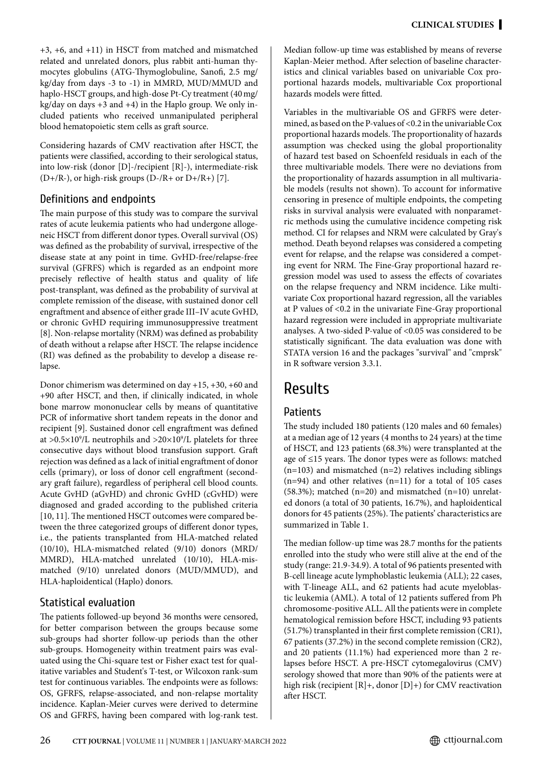+3, +6, and +11) in HSCT from matched and mismatched related and unrelated donors, plus rabbit anti-human thymocytes globulins (ATG-Thymoglobuline, Sanofi, 2.5 mg/ kg/day from days -3 to -1) in MMRD, MUD/MMUD and haplo-HSCT groups, and high-dose Pt-Cy treatment (40mg/  $kg/day$  on days  $+3$  and  $+4$ ) in the Haplo group. We only included patients who received unmanipulated peripheral blood hematopoietic stem cells as graft source.

Considering hazards of CMV reactivation after HSCT, the patients were classified, according to their serological status, into low-risk (donor [D]-/recipient [R]-), intermediate-risk  $(D+/R-)$ , or high-risk groups  $(D-/R+$  or  $D+/R+)$  [7].

### Definitions and endpoints

The main purpose of this study was to compare the survival rates of acute leukemia patients who had undergone allogeneic HSCT from different donor types. Overall survival (OS) was defined as the probability of survival, irrespective of the disease state at any point in time. GvHD-free/relapse-free survival (GFRFS) which is regarded as an endpoint more precisely reflective of health status and quality of life post-transplant, was defined as the probability of survival at complete remission of the disease, with sustained donor cell engraftment and absence of either grade III–IV acute GvHD, or chronic GvHD requiring immunosuppressive treatment [8]. Non-relapse mortality (NRM) was defined as probability of death without a relapse after HSCT. The relapse incidence (RI) was defined as the probability to develop a disease relapse.

Donor chimerism was determined on day +15, +30, +60 and +90 after HSCT, and then, if clinically indicated, in whole bone marrow mononuclear cells by means of quantitative PCR of informative short tandem repeats in the donor and recipient [9]. Sustained donor cell engraftment was defined at >0.5 $\times$ 10 $^9$ /L neutrophils and >20 $\times$ 10 $^9$ /L platelets for three consecutive days without blood transfusion support. Graft rejection was defined as a lack of initial engraftment of donor cells (primary), or loss of donor cell engraftment (secondary graft failure), regardless of peripheral cell blood counts. Acute GvHD (aGvHD) and chronic GvHD (cGvHD) were diagnosed and graded according to the published criteria [10, 11]. The mentioned HSCT outcomes were compared between the three categorized groups of different donor types, i.e., the patients transplanted from HLA-matched related (10/10), HLA-mismatched related (9/10) donors (MRD/ MMRD), HLA-matched unrelated (10/10), HLA-mismatched (9/10) unrelated donors (MUD/MMUD), and HLA-haploidentical (Haplo) donors.

### Statistical evaluation

The patients followed-up beyond 36 months were censored, for better comparison between the groups because some sub-groups had shorter follow-up periods than the other sub-groups. Homogeneity within treatment pairs was evaluated using the Chi-square test or Fisher exact test for qualitative variables and Student's T-test, or Wilcoxon rank-sum test for continuous variables. The endpoints were as follows: OS, GFRFS, relapse-associated, and non-relapse mortality incidence. Kaplan-Meier curves were derived to determine OS and GFRFS, having been compared with log-rank test.

Median follow-up time was established by means of reverse Kaplan-Meier method. After selection of baseline characteristics and clinical variables based on univariable Cox proportional hazards models, multivariable Cox proportional hazards models were fitted.

Variables in the multivariable OS and GFRFS were determined, as based on the P-values of <0.2 in the univariable Cox proportional hazards models. The proportionality of hazards assumption was checked using the global proportionality of hazard test based on Schoenfeld residuals in each of the three multivariable models. There were no deviations from the proportionality of hazards assumption in all multivariable models (results not shown). To account for informative censoring in presence of multiple endpoints, the competing risks in survival analysis were evaluated with nonparametric methods using the cumulative incidence competing risk method. CI for relapses and NRM were calculated by Gray's method. Death beyond relapses was considered a competing event for relapse, and the relapse was considered a competing event for NRM. The Fine-Gray proportional hazard regression model was used to assess the effects of covariates on the relapse frequency and NRM incidence. Like multivariate Cox proportional hazard regression, all the variables at P values of <0.2 in the univariate Fine-Gray proportional hazard regression were included in appropriate multivariate analyses. A two-sided P-value of <0.05 was considered to be statistically significant. The data evaluation was done with STATA version 16 and the packages "survival" and "cmprsk" in R software version 3.3.1.

# Results

# Patients

The study included 180 patients (120 males and 60 females) at a median age of 12 years (4 months to 24 years) at the time of HSCT, and 123 patients (68.3%) were transplanted at the age of ≤15 years. The donor types were as follows: matched (n=103) and mismatched (n=2) relatives including siblings (n=94) and other relatives (n=11) for a total of 105 cases (58.3%); matched  $(n=20)$  and mismatched  $(n=10)$  unrelated donors (a total of 30 patients, 16.7%), and haploidentical donors for 45 patients (25%). The patients' characteristics are summarized in Table 1.

The median follow-up time was 28.7 months for the patients enrolled into the study who were still alive at the end of the study (range: 21.9-34.9). A total of 96 patients presented with B-cell lineage acute lymphoblastic leukemia (ALL); 22 cases, with T-lineage ALL, and 62 patients had acute myeloblastic leukemia (AML). A total of 12 patients suffered from Ph chromosome-positive ALL. All the patients were in complete hematological remission before HSCT, including 93 patients (51.7%) transplanted in their first complete remission (CR1), 67 patients (37.2%) in the second complete remission (CR2), and 20 patients (11.1%) had experienced more than 2 relapses before HSCT. A pre-HSCT cytomegalovirus (CMV) serology showed that more than 90% of the patients were at high risk (recipient  $[R]$ +, donor  $[D]$ +) for CMV reactivation after HSCT.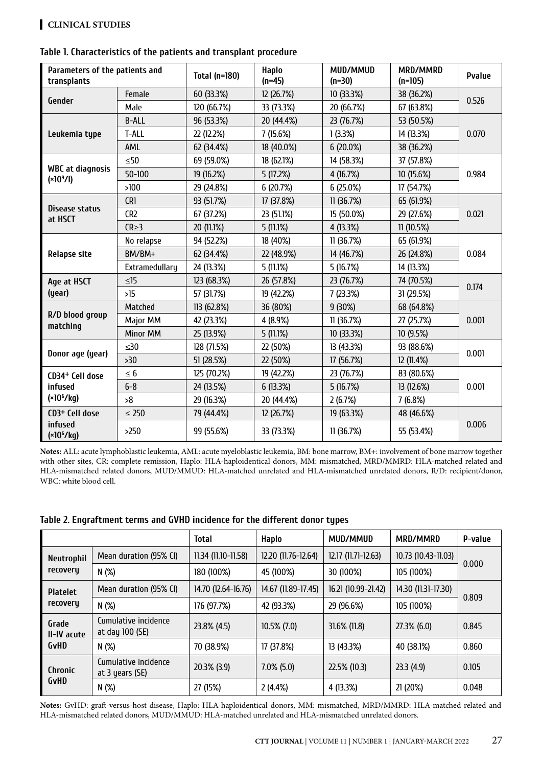### **Clinical STUDIES**

| Parameters of the patients and<br>transplants         |                 | <b>Total (n=180)</b> | <b>Haplo</b><br>$(n=45)$ | MUD/MMUD<br>$(n=30)$ | MRD/MMRD<br>$(n=105)$ | <b>Pvalue</b> |  |
|-------------------------------------------------------|-----------------|----------------------|--------------------------|----------------------|-----------------------|---------------|--|
| Gender                                                | Female          | 60 (33.3%)           | 12 (26.7%)               | 10 (33.3%)           | 38 (36.2%)            | 0.526         |  |
|                                                       | Male            | 120 (66.7%)          | 33 (73.3%)               | 20 (66.7%)           | 67 (63.8%)            |               |  |
|                                                       | <b>B-ALL</b>    | 96 (53.3%)           | 20 (44.4%)               | 23 (76.7%)           | 53 (50.5%)            |               |  |
| Leukemia type                                         | T-ALL           | 22 (12.2%)           | 7(15.6%)                 | 1(3.3%)              | 14 (13.3%)            | 0.070         |  |
|                                                       | AML             | 62 (34.4%)           | 18 (40.0%)               | 6(20.0%)             | 38 (36.2%)            |               |  |
|                                                       | $\leq 50$       | 69 (59.0%)           | 18 (62.1%)               | 14 (58.3%)           | 37 (57.8%)            |               |  |
| <b>WBC</b> at diagnosis<br>(x10 <sup>9</sup> /I)      | $50 - 100$      | 19 (16.2%)           | 5(17.2%)                 | 4 (16.7%)            | 10 (15.6%)            | 0.984         |  |
|                                                       | >100            | 29 (24.8%)           | 6 (20.7%)                | 6(25.0%)             | 17 (54.7%)            |               |  |
|                                                       | CR1             | 93 (51.7%)           | 17 (37.8%)               | 11(36.7%)            | 65 (61.9%)            | 0.021         |  |
| <b>Disease status</b><br>at HSCT                      | CR <sub>2</sub> | 67 (37.2%)           | 23 (51.1%)               | 15 (50.0%)           | 29 (27.6%)            |               |  |
|                                                       | $CR \geq 3$     | 20 (11.1%)           | 5(11.1%)                 | 4 (13.3%)            | 11(10.5%)             |               |  |
| <b>Relapse site</b>                                   | No relapse      | 94 (52.2%)           | 18 (40%)                 | 11(36.7%)            | 65 (61.9%)            | 0.084         |  |
|                                                       | BM/BM+          | 62 (34.4%)           | 22 (48.9%)               | 14 (46.7%)           | 26 (24.8%)            |               |  |
|                                                       | Extramedullary  | 24 (13.3%)           | 5(11.1%)                 | 5(16.7%)             | 14 (13.3%)            |               |  |
| Age at HSCT                                           | $\leq$ 15       | 123 (68.3%)          | 26 (57.8%)               | 23 (76.7%)           | 74 (70.5%)            | 0.174         |  |
| (year)                                                | >15             | 57 (31.7%)           | 19 (42.2%)               | 7(23.3%)             | 31 (29.5%)            |               |  |
| R/D blood group<br>matching                           | Matched         | 113 (62.8%)          | 36 (80%)                 | 9(30%)               | 68 (64.8%)            |               |  |
|                                                       | Major MM        | 42 (23.3%)           | 4 (8.9%)                 | 11 (36.7%)           | 27 (25.7%)            | 0.001         |  |
|                                                       | Minor MM        | 25 (13.9%)           | 5(11.1%)                 | 10 (33.3%)           | 10 (9.5%)             |               |  |
| Donor age (year)                                      | $\leq 30$       | 128 (71.5%)          | 22 (50%)                 | 13 (43.3%)           | 93 (88.6%)            | 0.001         |  |
|                                                       | >30             | 51 (28.5%)           | 22 (50%)                 | 17 (56.7%)           | 12 (11.4%)            |               |  |
| CD34 <sup>+</sup> Cell dose<br>infused<br>$(*106/kg)$ | $\leq 6$        | 125 (70.2%)          | 19 (42.2%)               | 23 (76.7%)           | 83 (80.6%)            | 0.001         |  |
|                                                       | $6 - 8$         | 24 (13.5%)           | 6(13.3%)                 | 5(16.7%)             | 13 (12.6%)            |               |  |
|                                                       | >8              | 29 (16.3%)           | 20 (44.4%)               | 2(6.7%)              | 7(6.8%)               |               |  |
| CD3 <sup>+</sup> Cell dose                            | $\leq 250$      | 79 (44.4%)           | 12 (26.7%)               | 19 (63.3%)           | 48 (46.6%)            |               |  |
| infused<br>$(*106/kg)$                                | $>250$          | 99 (55.6%)           | 33 (73.3%)               | 11(36.7%)            | 55 (53.4%)            | 0.006         |  |

#### **Table 1. Characteristics of the patients and transplant procedure**

**Notes:** ALL: acute lymphoblastic leukemia, AML: acute myeloblastic leukemia, BM: bone marrow, BM+: involvement of bone marrow together with other sites, CR: complete remission, Haplo: HLA-haploidentical donors, MM: mismatched, MRD/MMRD: HLA-matched related and HLA-mismatched related donors, MUD/MMUD: HLA-matched unrelated and HLA-mismatched unrelated donors, R/D: recipient/donor, WBC: white blood cell.

|                                     |                                         | <b>Total</b>        | Haplo               | MUD/MMUD            | MRD/MMRD            | <b>P-value</b> |  |
|-------------------------------------|-----------------------------------------|---------------------|---------------------|---------------------|---------------------|----------------|--|
| Neutrophil                          | Mean duration (95% CI)                  | 11.34 (11.10-11.58) | 12.20 (11.76-12.64) | 12.17 (11.71-12.63) | 10.73 (10.43-11.03) |                |  |
| recovery                            | N(%)                                    | 180 (100%)          | 45 (100%)           | 30 (100%)           | 105 (100%)          | 0.000          |  |
| <b>Platelet</b>                     | Mean duration (95% CI)                  | 14.70 (12.64-16.76) | 14.67 (11.89-17.45) | 16.21 (10.99-21.42) | 14.30 (11.31-17.30) |                |  |
| recovery                            | N(%)                                    | 176 (97.7%)         | 42 (93.3%)          | 29 (96.6%)          | 105 (100%)          | 0.809          |  |
| Grade<br>II-IV acute<br><b>GvHD</b> | Cumulative incidence<br>at day 100 (SE) | 23.8% (4.5)         | $10.5\%$ (7.0)      | $31.6\%$ (11.8)     | 27.3% (6.0)         | 0.845          |  |
|                                     | N(%)                                    | 70 (38.9%)          | 17 (37.8%)          | 13 (43.3%)          | 40 (38.1%)          | 0.860          |  |
| <b>Chronic</b><br><b>GvHD</b>       | Cumulative incidence<br>at 3 years (SE) | 20.3% (3.9)         | $7.0\%$ (5.0)       | 22.5% (10.3)        | 23.3(4.9)           | 0.105          |  |
|                                     | N(%)                                    | 27 (15%)            | 2(4.4%)             | 4 (13.3%)           | 21 (20%)            | 0.048          |  |

#### **Table 2. Engraftment terms and GVHD incidence for the different donor types**

**Notes:** GvHD: graft-versus-host disease, Haplo: HLA-haploidentical donors, MM: mismatched, MRD/MMRD: HLA-matched related and HLA-mismatched related donors, MUD/MMUD: HLA-matched unrelated and HLA-mismatched unrelated donors.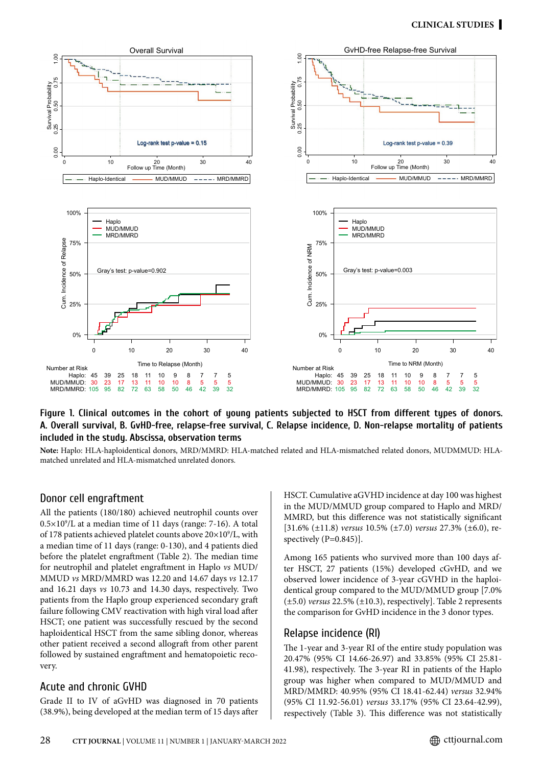

#### **Figure 1. Clinical outcomes in the cohort of young patients subjected to HSCT from different types of donors. A. Overall survival, B. GvHD-free, relapse-free survival, C. Relapse incidence, D. Non-relapse mortality of patients included in the study. Abscissa, observation terms**

**Note:** Haplo: HLA-haploidentical donors, MRD/MMRD: HLA-matched related and HLA-mismatched related donors, MUDMMUD: HLAmatched unrelated and HLA-mismatched unrelated donors.

#### Donor cell engraftment

All the patients (180/180) achieved neutrophil counts over 0.5×109 /L at a median time of 11 days (range: 7-16). A total of 178 patients achieved platelet counts above  $20\times10^9$ /L, with a median time of 11 days (range: 0-130), and 4 patients died before the platelet engraftment (Table 2). The median time for neutrophil and platelet engraftment in Haplo *vs* MUD/ MMUD *vs* MRD/MMRD was 12.20 and 14.67 days *vs* 12.17 and 16.21 days *vs* 10.73 and 14.30 days, respectively. Two patients from the Haplo group experienced secondary graft failure following CMV reactivation with high viral load after HSCT; one patient was successfully rescued by the second haploidentical HSCT from the same sibling donor, whereas other patient received a second allograft from other parent followed by sustained engraftment and hematopoietic recovery.

### Acute and chronic GVHD

Grade II to IV of aGvHD was diagnosed in 70 patients (38.9%), being developed at the median term of 15 days after HSCT. Cumulative aGVHD incidence at day 100 was highest in the MUD/MMUD group compared to Haplo and MRD/ MMRD, but this difference was not statistically significant [31.6% (±11.8) *versus* 10.5% (±7.0) *versus* 27.3% (±6.0), respectively (P=0.845)].

Among 165 patients who survived more than 100 days after HSCT, 27 patients (15%) developed cGvHD, and we observed lower incidence of 3-year cGVHD in the haploidentical group compared to the MUD/MMUD group [7.0% (±5.0) *versus* 22.5% (±10.3), respectively]. Table 2 represents the comparison for GvHD incidence in the 3 donor types.

### Relapse incidence (RI)

The 1-year and 3-year RI of the entire study population was 20.47% (95% CI 14.66-26.97) and 33.85% (95% CI 25.81- 41.98), respectively. The 3-year RI in patients of the Haplo group was higher when compared to MUD/MMUD and MRD/MMRD: 40.95% (95% CI 18.41-62.44) *versus* 32.94% (95% CI 11.92-56.01) *versus* 33.17% (95% CI 23.64-42.99), respectively (Table 3). This difference was not statistically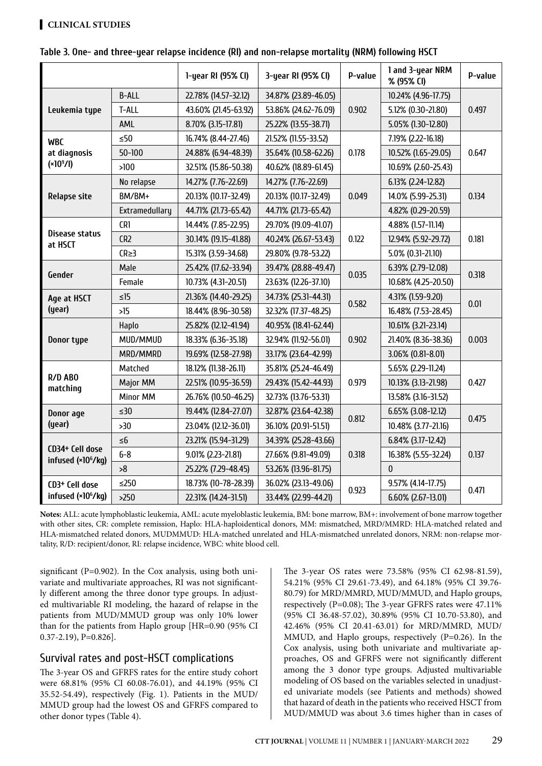### **Clinical STUDIES**

|                                                   |                 | 1-year RI (95% CI)   | 3-year RI (95% CI)   | P-value                     | 1 and 3-year NRM<br>% (95% CI) | P-value |
|---------------------------------------------------|-----------------|----------------------|----------------------|-----------------------------|--------------------------------|---------|
|                                                   | <b>B-ALL</b>    | 22.78% (14.57-32.12) | 34.87% (23.89-46.05) |                             | 10.24% (4.96-17.75)            | 0.497   |
| Leukemia type                                     | T-ALL           | 43.60% (21.45-63.92) | 53.86% (24.62-76.09) | 0.902                       | 5.12% (0.30-21.80)             |         |
|                                                   | AML             | 8.70% (3.15-17.81)   | 25.22% (13.55-38.71) |                             | 5.05% (1.30-12.80)             |         |
| <b>WBC</b>                                        | $\leq 50$       | 16.74% (8.44-27.46)  | 21.52% (11.55-33.52) |                             | 7.19% (2.22-16.18)             |         |
| at diagnosis                                      | $50 - 100$      | 24.88% (6.94-48.39)  | 35.64% (10.58-62.26) | 0.178                       | 10.52% (1.65-29.05)            | 0.647   |
| $(*109/I)$                                        | >100            | 32.51% (15.86-50.38) | 40.62% (18.89-61.45) |                             | 10.69% (2.60-25.43)            |         |
|                                                   | No relapse      | 14.27% (7.76-22.69)  | 14.27% (7.76-22.69)  |                             | 6.13% (2.24-12.82)             |         |
| <b>Relapse site</b>                               | BM/BM+          | 20.13% (10.17-32.49) | 20.13% (10.17-32.49) | 0.049                       | 14.0% (5.99-25.31)             | 0.134   |
|                                                   | Extramedullary  | 44.71% (21.73-65.42) | 44.71% (21.73-65.42) |                             | 4.82% (0.29-20.59)             |         |
|                                                   | CR1             | 14.44% (7.85-22.95)  | 29.70% (19.09-41.07) |                             | 4.88% (1.57-11.14)             | 0.181   |
| Disease status<br>at HSCT                         | CR <sub>2</sub> | 30.14% (19.15-41.88) | 40.24% (26.67-53.43) | 0.122                       | 12.94% (5.92-29.72)            |         |
|                                                   | $CR \geq 3$     | 15.31% (3.59-34.68)  | 29.80% (9.78-53.22)  |                             | 5.0% (0.31-21.10)              |         |
| Gender                                            | Male            | 25.42% (17.62-33.94) | 39.47% (28.88-49.47) | 0.035                       | 6.39% (2.79-12.08)             | 0.318   |
|                                                   | Female          | 10.73% (4.31-20.51)  | 23.63% (12.26-37.10) |                             | 10.68% (4.25-20.50)            |         |
| Age at HSCT<br>(year)                             | $\leq15$        | 21.36% (14.40-29.25) | 34.73% (25.31-44.31) | 0.582                       | 4.31% (1.59-9.20)              | 0.01    |
|                                                   | >15             | 18.44% (8.96-30.58)  | 32.32% (17.37-48.25) |                             | 16.48% (7.53-28.45)            |         |
| Donor type                                        | Haplo           | 25.82% (12.12-41.94) | 40.95% (18.41-62.44) |                             | 10.61% (3.21-23.14)            | 0.003   |
|                                                   | MUD/MMUD        | 18.33% (6.36-35.18)  | 32.94% (11.92-56.01) | 0.902                       | 21.40% (8.36-38.36)            |         |
|                                                   | MRD/MMRD        | 19.69% (12.58-27.98) | 33.17% (23.64-42.99) |                             | 3.06% (0.81-8.01)              |         |
| R/D ABO<br>matching                               | Matched         | 18.12% (11.38-26.11) | 35.81% (25.24-46.49) |                             | 5.65% (2.29-11.24)             | 0.427   |
|                                                   | Major MM        | 22.51% (10.95-36.59) | 29.43% (15.42-44.93) | 0.979                       | 10.13% (3.13-21.98)            |         |
|                                                   | <b>Minor MM</b> | 26.76% (10.50-46.25) | 32.73% (13.76-53.31) |                             | 13.58% (3.16-31.52)            |         |
| Donor age<br>(year)                               | $\leq 30$       | 19.44% (12.84-27.07) | 32.87% (23.64-42.38) | 0.812                       | 6.65% (3.08-12.12)             | 0.475   |
|                                                   | >30             | 23.04% (12.12-36.01) | 36.10% (20.91-51.51) |                             | 10.48% (3.77-21.16)            |         |
| CD34+ Cell dose<br>infused (×10 <sup>6</sup> /kg) | $\leq 6$        | 23.21% (15.94-31.29) | 34.39% (25.28-43.66) |                             | 6.84% (3.17-12.42)             | 0.137   |
|                                                   | $6 - 8$         | 9.01% (2.23-21.81)   | 27.66% (9.81-49.09)  | 0.318                       | 16.38% (5.55-32.24)            |         |
|                                                   | >8              | 25.22% (7.29-48.45)  | 53.26% (13.96-81.75) |                             | $\mathbf{0}$                   |         |
| CD3+ Cell dose                                    | $\leq$ 250      | 18.73% (10-78-28.39) | 36.02% (23.13-49.06) |                             | 9.57% (4.14-17.75)             |         |
| infused (×10 <sup>6</sup> /kg)                    | >250            | 22.31% (14.24-31.51) | 33.44% (22.99-44.21) | 0.923<br>6.60% (2.67-13.01) |                                | 0.471   |

#### **Table 3. One- and three-year relapse incidence (RI) and non-relapse mortality (NRM) following HSCT**

**Notes:** ALL: acute lymphoblastic leukemia, AML: acute myeloblastic leukemia, BM: bone marrow, BM+: involvement of bone marrow together with other sites, CR: complete remission, Haplo: HLA-haploidentical donors, MM: mismatched, MRD/MMRD: HLA-matched related and HLA-mismatched related donors, MUDMMUD: HLA-matched unrelated and HLA-mismatched unrelated donors, NRM: non-relapse mortality, R/D: recipient/donor, RI: relapse incidence, WBC: white blood cell.

significant (P=0.902). In the Cox analysis, using both univariate and multivariate approaches, RI was not significantly different among the three donor type groups. In adjusted multivariable RI modeling, the hazard of relapse in the patients from MUD/MMUD group was only 10% lower than for the patients from Haplo group [HR=0.90 (95% CI 0.37-2.19), P=0.826].

### Survival rates and post-HSCT complications

The 3-year OS and GFRFS rates for the entire study cohort were 68.81% (95% CI 60.08-76.01), and 44.19% (95% CI 35.52-54.49), respectively (Fig. 1). Patients in the MUD/ MMUD group had the lowest OS and GFRFS compared to other donor types (Table 4).

The 3-year OS rates were 73.58% (95% CI 62.98-81.59), 54.21% (95% CI 29.61-73.49), and 64.18% (95% CI 39.76- 80.79) for MRD/MMRD, MUD/MMUD, and Haplo groups, respectively (P=0.08); The 3-year GFRFS rates were 47.11% (95% CI 36.48-57.02), 30.89% (95% CI 10.70-53.80), and 42.46% (95% CI 20.41-63.01) for MRD/MMRD, MUD/ MMUD, and Haplo groups, respectively (P=0.26). In the Cox analysis, using both univariate and multivariate approaches, OS and GFRFS were not significantly different among the 3 donor type groups. Adjusted multivariable modeling of OS based on the variables selected in unadjusted univariate models (see Patients and methods) showed that hazard of death in the patients who received HSCT from MUD/MMUD was about 3.6 times higher than in cases of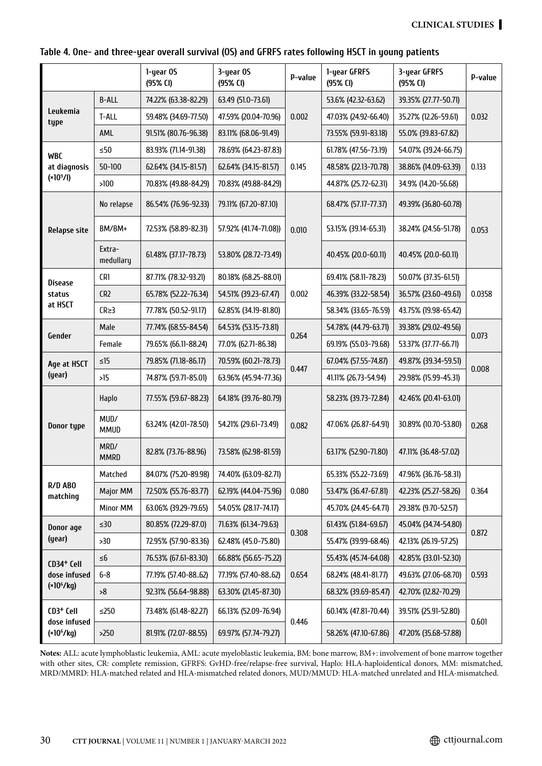|  |  |  | Table 4. One- and three-year overall survival (OS) and GFRFS rates following HSCT in young patients |  |  |  |  |
|--|--|--|-----------------------------------------------------------------------------------------------------|--|--|--|--|
|--|--|--|-----------------------------------------------------------------------------------------------------|--|--|--|--|

|                                                       |                     | 1-year OS<br>(95% CI) | 3-year OS<br>(95% CI) | P-value | 1-year GFRFS<br>(95% CI) | 3-year GFRFS<br>(95% CI) | P-value |  |
|-------------------------------------------------------|---------------------|-----------------------|-----------------------|---------|--------------------------|--------------------------|---------|--|
|                                                       | <b>B-ALL</b>        | 74.22% (63.38-82.29)  | 63.49 (51.0-73.61)    |         | 53.6% (42.32-63.62)      | 39.35% (27.77-50.71)     | 0.032   |  |
| Leukemia<br>type                                      | T-ALL               | 59.48% (34.69-77.50)  | 47.59% (20.04-70.96)  | 0.002   | 47.03% (24.92-66.40)     | 35.27% (12.26-59.61)     |         |  |
|                                                       | AML                 | 91.51% (80.76-96.38)  | 83.11% (68.06-91.49)  |         | 73.55% (59.91-83.18)     | 55.0% (39.83-67.82)      |         |  |
| <b>WBC</b>                                            | $\leq 50$           | 83.93% (71.14-91.38)  | 78.69% (64.23-87.83)  |         | 61.78% (47.56-73.19)     | 54.07% (39.24-66.75)     |         |  |
| at diagnosis                                          | $50 - 100$          | 62.64% (34.15-81.57)  | 62.64% (34.15-81.57)  | 0.145   | 48.58% (22.13-70.78)     | 38.86% (14.09-63.39)     | 0.133   |  |
| $(*109/I)$                                            | >100                | 70.83% (49.88-84.29)  | 70.83% (49.88-84.29)  |         | 44.87% (25.72-62.31)     | 34.9% (14.20-56.68)      |         |  |
|                                                       | No relapse          | 86.54% (76.96-92.33)  | 79.11% (67.20-87.10)  |         | 68.47% (57.17-77.37)     | 49.39% (36.80-60.78)     |         |  |
| <b>Relapse site</b>                                   | BM/BM+              | 72.53% (58.89-82.31)  | 57.92% (41.74-71.08)) | 0.010   | 53.15% (39.14-65.31)     | 38.24% (24.56-51.78)     | 0.053   |  |
|                                                       | Extra-<br>medullary | 61.48% (37.17-78.73)  | 53.80% (28.72-73.49)  |         | 40.45% (20.0-60.11)      | 40.45% (20.0-60.11)      |         |  |
| <b>Disease</b>                                        | CR1                 | 87.71% (78.32-93.21)  | 80.18% (68.25-88.01)  |         | 69.41% (58.11-78.23)     | 50.07% (37.35-61.51)     | 0.0358  |  |
| status                                                | CR2                 | 65.78% (52.22-76.34)  | 54.51% (39.23-67.47)  | 0.002   | 46.39% (33.22-58.54)     | 36.57% (23.60-49.61)     |         |  |
| at HSCT                                               | $CR \geq 3$         | 77.78% (50.52-91.17)  | 62.85% (34.19-81.80)  |         | 58.34% (33.65-76.59)     | 43.75% (19.98-65.42)     |         |  |
|                                                       | Male                | 77.74% (68.55-84.54)  | 64.53% (53.15-73.81)  | 0.264   | 54.78% (44.79-63.71)     | 39.38% (29.02-49.56)     | 0.073   |  |
| Gender                                                | Female              | 79.65% (66.11-88.24)  | 77.0% (62.71-86.38)   |         | 69.19% (55.03-79.68)     | 53.37% (37.77-66.71)     |         |  |
| Age at HSCT<br>(year)                                 | $\leq$ 15           | 79.85% (71.18-86.17)  | 70.59% (60.21-78.73)  | 0.447   | 67.04% (57.55-74.87)     | 49.87% (39.34-59.51)     | 0.008   |  |
|                                                       | >15                 | 74.87% (59.71-85.01)  | 63.96% (45.94-77.36)  |         | 41.11% (26.73-54.94)     | 29.98% (15.99-45.31)     |         |  |
|                                                       | Haplo               | 77.55% (59.67-88.23)  | 64.18% (39.76-80.79)  |         | 58.23% (39.73-72.84)     | 42.46% (20.41-63.01)     | 0.268   |  |
| Donor type                                            | MUD/<br><b>MMUD</b> | 63.24% (42.01-78.50)  | 54.21% (29.61-73.49)  | 0.082   | 47.06% (26.87-64.91)     | 30.89% (10.70-53.80)     |         |  |
|                                                       | MRD/<br><b>MMRD</b> | 82.8% (73.76-88.96)   | 73.58% (62.98-81.59)  |         | 63.17% (52.90-71.80)     | 47.11% (36.48-57.02)     |         |  |
| R/D ABO<br>matching                                   | Matched             | 84.07% (75.20-89.98)  | 74.40% (63.09-82.71)  |         | 65.33% (55.22-73.69)     | 47.96% (36.76-58.31)     |         |  |
|                                                       | Major MM            | 72.50% (55.76-83.77)  | 62.19% (44.04-75.96)  | 0.080   | 53.47% (36.47-67.81)     | 42.23% (25.27-58.26)     | 0.364   |  |
|                                                       | Minor MM            | 63.06% (39.29-79.65)  | 54.05% (28.17-74.17)  |         | 45.70% (24.45-64.71)     | 29.38% (9.70-52.57)      |         |  |
| Donor age<br>(year)                                   | $\leq 30$           | 80.85% (72.29-87.0)   | 71.63% (61.34-79.63)  |         | 61.43% (51.84-69.67)     | 45.04% (34.74-54.80)     | 0.872   |  |
|                                                       | >30                 | 72.95% (57.90-83.36)  | 62.48% (45.0-75.80)   | 0.308   | 55.47% (39.99-68.46)     | 42.13% (26.19-57.25)     |         |  |
| CD34 <sup>+</sup> Cell<br>dose infused<br>$(*106/kg)$ | $\leq 6$            | 76.53% (67.61-83.30)  | 66.88% (56.65-75.22)  |         | 55.43% (45.74-64.08)     | 42.85% (33.01-52.30)     | 0.593   |  |
|                                                       | $6 - 8$             | 77.19% (57.40-8862)   | 77.19% (57.40-8862)   | 0.654   | 68.24% (48.41-81.77)     | 49.63% (27.06-68.70)     |         |  |
|                                                       | >8                  | 92.31% (56.64-98.88)  | 63.30% (21.45-87.30)  |         | 68.32% (39.69-85.47)     | 42.70% (12.82-70.29)     |         |  |
| CD3+ Cell<br>dose infused                             | $\leq$ 250          | 73.48% (61.48-82.27)  | 66.13% (52.09-76.94)  | 0.446   | 60.14% (47.81-70.44)     | 39.51% (25.91-52.80)     | 0.601   |  |
| $(*106/kg)$                                           | >250                | 81.91% (72.07-88.55)  | 69.97% (57.74-79.27)  |         | 58.26% (47.10-67.86)     | 47.20% (35.68-57.88)     |         |  |

**Notes:** ALL: acute lymphoblastic leukemia, AML: acute myeloblastic leukemia, BM: bone marrow, BM+: involvement of bone marrow together with other sites, CR: complete remission, GFRFS: GvHD-free/relapse-free survival, Haplo: HLA-haploidentical donors, MM: mismatched, MRD/MMRD: HLA-matched related and HLA-mismatched related donors, MUD/MMUD: HLA-matched unrelated and HLA-mismatched.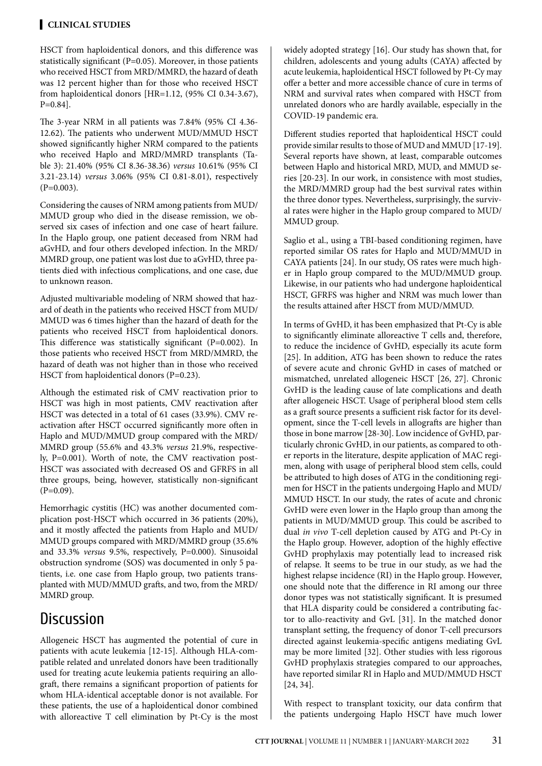HSCT from haploidentical donors, and this difference was statistically significant (P=0.05). Moreover, in those patients who received HSCT from MRD/MMRD, the hazard of death was 12 percent higher than for those who received HSCT from haploidentical donors [HR=1.12, (95% CI 0.34-3.67), P=0.84].

The 3-year NRM in all patients was 7.84% (95% CI 4.36- 12.62). The patients who underwent MUD/MMUD HSCT showed significantly higher NRM compared to the patients who received Haplo and MRD/MMRD transplants (Table 3): 21.40% (95% CI 8.36-38.36) *versus* 10.61% (95% CI 3.21-23.14) *versus* 3.06% (95% CI 0.81-8.01), respectively  $(P=0.003)$ .

Considering the causes of NRM among patients from MUD/ MMUD group who died in the disease remission, we observed six cases of infection and one case of heart failure. In the Haplo group, one patient deceased from NRM had aGvHD, and four others developed infection. In the MRD/ MMRD group, one patient was lost due to aGvHD, three patients died with infectious complications, and one case, due to unknown reason.

Adjusted multivariable modeling of NRM showed that hazard of death in the patients who received HSCT from MUD/ MMUD was 6 times higher than the hazard of death for the patients who received HSCT from haploidentical donors. This difference was statistically significant (P=0.002). In those patients who received HSCT from MRD/MMRD, the hazard of death was not higher than in those who received HSCT from haploidentical donors (P=0.23).

Although the estimated risk of CMV reactivation prior to HSCT was high in most patients, CMV reactivation after HSCT was detected in a total of 61 cases (33.9%). CMV reactivation after HSCT occurred significantly more often in Haplo and MUD/MMUD group compared with the MRD/ MMRD group (55.6% and 43.3% *versus* 21.9%, respectively, P=0.001). Worth of note, the CMV reactivation post-HSCT was associated with decreased OS and GFRFS in all three groups, being, however, statistically non-significant  $(P=0.09)$ .

Hemorrhagic cystitis (HC) was another documented complication post-HSCT which occurred in 36 patients (20%), and it mostly affected the patients from Haplo and MUD/ MMUD groups compared with MRD/MMRD group (35.6% and 33.3% *versus* 9.5%, respectively, P=0.000). Sinusoidal obstruction syndrome (SOS) was documented in only 5 patients, i.e. one case from Haplo group, two patients transplanted with MUD/MMUD grafts, and two, from the MRD/ MMRD group.

# **Discussion**

Allogeneic HSCT has augmented the potential of cure in patients with acute leukemia [12-15]. Although HLA-compatible related and unrelated donors have been traditionally used for treating acute leukemia patients requiring an allograft, there remains a significant proportion of patients for whom HLA-identical acceptable donor is not available. For these patients, the use of a haploidentical donor combined with alloreactive T cell elimination by Pt-Cy is the most widely adopted strategy [16]. Our study has shown that, for children, adolescents and young adults (CAYA) affected by acute leukemia, haploidentical HSCT followed by Pt-Cy may offer a better and more accessible chance of cure in terms of NRM and survival rates when compared with HSCT from unrelated donors who are hardly available, especially in the COVID-19 pandemic era.

Different studies reported that haploidentical HSCT could provide similar results to those of MUD and MMUD [17-19]. Several reports have shown, at least, comparable outcomes between Haplo and historical MRD, MUD, and MMUD series [20-23]. In our work, in consistence with most studies, the MRD/MMRD group had the best survival rates within the three donor types. Nevertheless, surprisingly, the survival rates were higher in the Haplo group compared to MUD/ MMUD group.

Saglio et al., using a TBI-based conditioning regimen, have reported similar OS rates for Haplo and MUD/MMUD in CAYA patients [24]. In our study, OS rates were much higher in Haplo group compared to the MUD/MMUD group. Likewise, in our patients who had undergone haploidentical HSCT, GFRFS was higher and NRM was much lower than the results attained after HSCT from MUD/MMUD.

In terms of GvHD, it has been emphasized that Pt-Cy is able to significantly eliminate alloreactive T cells and, therefore, to reduce the incidence of GvHD, especially its acute form [25]. In addition, ATG has been shown to reduce the rates of severe acute and chronic GvHD in cases of matched or mismatched, unrelated allogeneic HSCT [26, 27]. Chronic GvHD is the leading cause of late complications and death after allogeneic HSCT. Usage of peripheral blood stem cells as a graft source presents a sufficient risk factor for its development, since the T-cell levels in allografts are higher than those in bone marrow [28-30]. Low incidence of GvHD, particularly chronic GvHD, in our patients, as compared to other reports in the literature, despite application of MAC regimen, along with usage of peripheral blood stem cells, could be attributed to high doses of ATG in the conditioning regimen for HSCT in the patients undergoing Haplo and MUD/ MMUD HSCT. In our study, the rates of acute and chronic GvHD were even lower in the Haplo group than among the patients in MUD/MMUD group. This could be ascribed to dual *in vivo* T-cell depletion caused by ATG and Pt-Cy in the Haplo group. However, adoption of the highly effective GvHD prophylaxis may potentially lead to increased risk of relapse. It seems to be true in our study, as we had the highest relapse incidence (RI) in the Haplo group. However, one should note that the difference in RI among our three donor types was not statistically significant. It is presumed that HLA disparity could be considered a contributing factor to allo-reactivity and GvL [31]. In the matched donor transplant setting, the frequency of donor T-cell precursors directed against leukemia-specific antigens mediating GvL may be more limited [32]. Other studies with less rigorous GvHD prophylaxis strategies compared to our approaches, have reported similar RI in Haplo and MUD/MMUD HSCT [24, 34].

With respect to transplant toxicity, our data confirm that the patients undergoing Haplo HSCT have much lower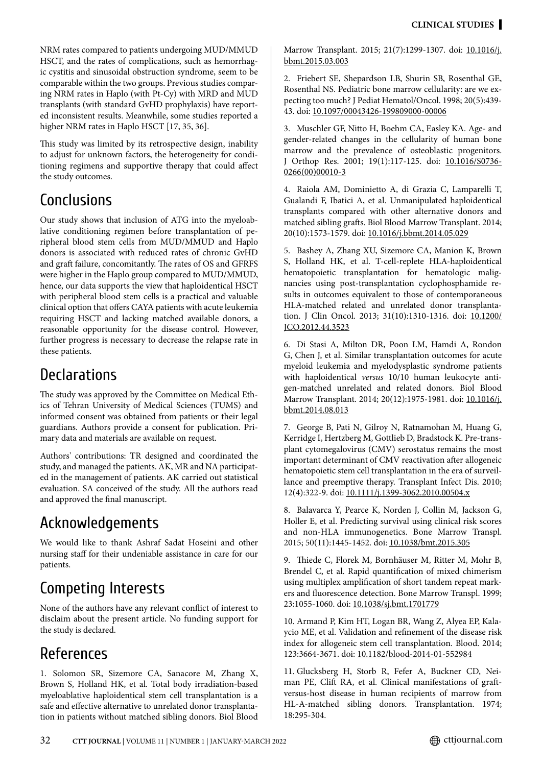NRM rates compared to patients undergoing MUD/MMUD HSCT, and the rates of complications, such as hemorrhagic cystitis and sinusoidal obstruction syndrome, seem to be comparable within the two groups. Previous studies comparing NRM rates in Haplo (with Pt-Cy) with MRD and MUD transplants (with standard GvHD prophylaxis) have reported inconsistent results. Meanwhile, some studies reported a higher NRM rates in Haplo HSCT [17, 35, 36].

This study was limited by its retrospective design, inability to adjust for unknown factors, the heterogeneity for conditioning regimens and supportive therapy that could affect the study outcomes.

# **Conclusions**

Our study shows that inclusion of ATG into the myeloablative conditioning regimen before transplantation of peripheral blood stem cells from MUD/MMUD and Haplo donors is associated with reduced rates of chronic GvHD and graft failure, concomitantly. The rates of OS and GFRFS were higher in the Haplo group compared to MUD/MMUD, hence, our data supports the view that haploidentical HSCT with peripheral blood stem cells is a practical and valuable clinical option that offers CAYA patients with acute leukemia requiring HSCT and lacking matched available donors, a reasonable opportunity for the disease control. However, further progress is necessary to decrease the relapse rate in these patients.

# **Declarations**

The study was approved by the Committee on Medical Ethics of Tehran University of Medical Sciences (TUMS) and informed consent was obtained from patients or their legal guardians. Authors provide a consent for publication. Primary data and materials are available on request.

Authors' contributions: TR designed and coordinated the study, and managed the patients. AK, MR and NA participated in the management of patients. AK carried out statistical evaluation. SA conceived of the study. All the authors read and approved the final manuscript.

# Acknowledgements

We would like to thank Ashraf Sadat Hoseini and other nursing staff for their undeniable assistance in care for our patients.

# Competing Interests

None of the authors have any relevant conflict of interest to disclaim about the present article. No funding support for the study is declared.

# References

1. Solomon SR, Sizemore CA, Sanacore M, Zhang X, Brown S, Holland HK, et al. Total body irradiation-based myeloablative haploidentical stem cell transplantation is a safe and effective alternative to unrelated donor transplantation in patients without matched sibling donors. Biol Blood Marrow Transplant. 2015; 21(7):1299-1307. doi: [10.1016/j.](http://doi.org/10.1016/j.bbmt.2015.03.003) [bbmt.2015.03.003](http://doi.org/10.1016/j.bbmt.2015.03.003)

2. Friebert SE, Shepardson LB, Shurin SB, Rosenthal GE, Rosenthal NS. Pediatric bone marrow cellularity: are we expecting too much? J Pediat Hematol/Oncol. 1998; 20(5):439- 43. doi: [10.1097/00043426-199809000-00006](http://doi.org/10.1097/00043426-199809000-00006)

3. Muschler GF, Nitto H, Boehm CA, Easley KA. Age- and gender-related changes in the cellularity of human bone marrow and the prevalence of osteoblastic progenitors. J Orthop Res. 2001; 19(1):117-125. doi: [10.1016/S0736-](http://doi.org/10.1016/S0736-0266%2800%2900010-3) [0266\(00\)00010-3](http://doi.org/10.1016/S0736-0266%2800%2900010-3)

4. Raiola AM, Dominietto A, di Grazia C, Lamparelli T, Gualandi F, Ibatici A, et al. Unmanipulated haploidentical transplants compared with other alternative donors and matched sibling grafts. Biol Blood Marrow Transplant. 2014; 20(10):1573-1579. doi: [10.1016/j.bbmt.2014.05.029](http://doi.org/10.1016/j.bbmt.2014.05.029)

5. Bashey A, Zhang XU, Sizemore CA, Manion K, Brown S, Holland HK, et al. T-cell-replete HLA-haploidentical hematopoietic transplantation for hematologic malignancies using post-transplantation cyclophosphamide results in outcomes equivalent to those of contemporaneous HLA-matched related and unrelated donor transplantation. J Clin Oncol. 2013; 31(10):1310-1316. doi: [10.1200/](http://doi.org/10.1200/JCO.2012.44.3523) [JCO.2012.44.3523](http://doi.org/10.1200/JCO.2012.44.3523)

6. Di Stasi A, Milton DR, Poon LM, Hamdi A, Rondon G, Chen J, et al. Similar transplantation outcomes for acute myeloid leukemia and myelodysplastic syndrome patients with haploidentical *versus* 10/10 human leukocyte antigen-matched unrelated and related donors. Biol Blood Marrow Transplant. 2014; 20(12):1975-1981. doi: [10.1016/j.](http://doi.org/10.1016/j.bbmt.2014.08.013) [bbmt.2014.08.013](http://doi.org/10.1016/j.bbmt.2014.08.013)

7. George B, Pati N, Gilroy N, Ratnamohan M, Huang G, Kerridge I, Hertzberg M, Gottlieb D, Bradstock K. Pre-transplant cytomegalovirus (CMV) serostatus remains the most important determinant of CMV reactivation after allogeneic hematopoietic stem cell transplantation in the era of surveillance and preemptive therapy. Transplant Infect Dis. 2010; 12(4):322-9. doi: [10.1111/j.1399-3062.2010.00504.x](http://doi.org/10.1111/j.1399-3062.2010.00504.x)

8. Balavarca Y, Pearce K, Norden J, Collin M, Jackson G, Holler E, et al. Predicting survival using clinical risk scores and non-HLA immunogenetics. Bone Marrow Transpl. 2015; 50(11):1445-1452. doi: [10.1038/bmt.2015.305](http://doi.org/10.1038/bmt.2015.305)

9. Thiede C, Florek M, Bornhäuser M, Ritter M, Mohr B, Brendel C, et al. Rapid quantification of mixed chimerism using multiplex amplification of short tandem repeat markers and fluorescence detection. Bone Marrow Transpl. 1999; 23:1055-1060. doi: [10.1038/sj.bmt.1701779](http://doi.org/10.1038/sj.bmt.1701779)

10. Armand P, Kim HT, Logan BR, Wang Z, Alyea EP, Kalaycio ME, et al. Validation and refinement of the disease risk index for allogeneic stem cell transplantation. Blood. 2014; 123:3664-3671. doi: [10.1182/blood-2014-01-552984](http://doi.org/10.1182/blood-2014-01-552984)

11. Glucksberg H, Storb R, Fefer A, Buckner CD, Neiman PE, Clift RA, et al. Clinical manifestations of graftversus-host disease in human recipients of marrow from HL-A-matched sibling donors. Transplantation. 1974; 18:295-304.

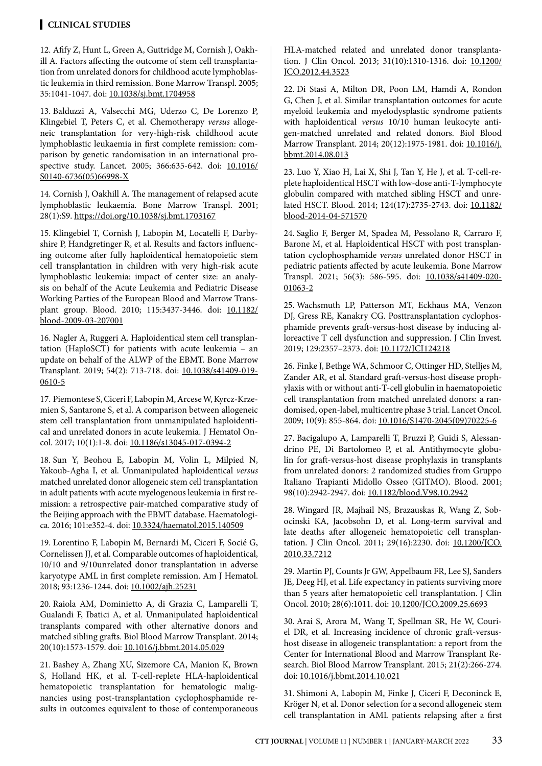### **Clinical STUDIES**

12. Afify Z, Hunt L, Green A, Guttridge M, Cornish J, Oakhill A. Factors affecting the outcome of stem cell transplantation from unrelated donors for childhood acute lymphoblastic leukemia in third remission. Bone Marrow Transpl. 2005; 35:1041-1047. doi: [10.1038/sj.bmt.1704958](http://doi.org/10.1038/sj.bmt.1704958)

13. Balduzzi A, Valsecchi MG, Uderzo C, De Lorenzo P, Klingebiel T, Peters C, et al. Chemotherapy *versus* allogeneic transplantation for very-high-risk childhood acute lymphoblastic leukaemia in first complete remission: comparison by genetic randomisation in an international prospective study. Lancet. 2005; 366:635-642. doi: [10.1016/](http://doi.org/10.1016/S0140-6736%2805%2966998-X) [S0140-6736\(05\)66998-X](http://doi.org/10.1016/S0140-6736%2805%2966998-X)

14. Cornish J, Oakhill A. The management of relapsed acute lymphoblastic leukaemia. Bone Marrow Transpl. 2001; 28(1):S9. [https://doi.org/10.1038/sj.bmt.1703167](http://doi.org/10.1038/sj.bmt.1703167)

15. Klingebiel T, Cornish J, Labopin M, Locatelli F, Darbyshire P, Handgretinger R, et al. Results and factors influencing outcome after fully haploidentical hematopoietic stem cell transplantation in children with very high-risk acute lymphoblastic leukemia: impact of center size: an analysis on behalf of the Acute Leukemia and Pediatric Disease Working Parties of the European Blood and Marrow Transplant group. Blood. 2010; 115:3437-3446. doi: [10.1182/](http://doi.org/10.1182/blood-2009-03-207001) [blood-2009-03-207001](http://doi.org/10.1182/blood-2009-03-207001)

16. Nagler A, Ruggeri A. Haploidentical stem cell transplantation (HaploSCT) for patients with acute leukemia – an update on behalf of the ALWP of the EBMT. Bone Marrow Transplant. 2019; 54(2): 713-718. doi: [10.1038/s41409-019-](http://doi.org/10.1038/s41409-019-0610-5) [0610-5](http://doi.org/10.1038/s41409-019-0610-5)

17. Piemontese S, Ciceri F, Labopin M, Arcese W, Kyrcz-Krzemien S, Santarone S, et al. A comparison between allogeneic stem cell transplantation from unmanipulated haploidentical and unrelated donors in acute leukemia. J Hematol Oncol. 2017; 10(1):1-8. doi: [10.1186/s13045-017-0394-2](http://doi.org/10.1186/s13045-017-0394-2)

18. Sun Y, Beohou E, Labopin M, Volin L, Milpied N, Yakoub-Agha I, et al. Unmanipulated haploidentical *versus* matched unrelated donor allogeneic stem cell transplantation in adult patients with acute myelogenous leukemia in first remission: a retrospective pair-matched comparative study of the Beijing approach with the EBMT database. Haematologica. 2016; 101:e352-4. doi: [10.3324/haematol.2015.140509](http://doi.org/10.3324/haematol.2015.140509)

19. Lorentino F, Labopin M, Bernardi M, Ciceri F, Socié G, Cornelissen JJ, et al. Comparable outcomes of haploidentical, 10/10 and 9/10unrelated donor transplantation in adverse karyotype AML in first complete remission. Am J Hematol. 2018; 93:1236-1244. doi: [10.1002/ajh.25231](http://doi.org/10.1002/ajh.25231)

20. Raiola AM, Dominietto A, di Grazia C, Lamparelli T, Gualandi F, Ibatici A, et al. Unmanipulated haploidentical transplants compared with other alternative donors and matched sibling grafts. Biol Blood Marrow Transplant. 2014; 20(10):1573-1579. doi: [10.1016/j.bbmt.2014.05.029](http://doi.org/10.1016/j.bbmt.2014.05.029)

21. Bashey A, Zhang XU, Sizemore CA, Manion K, Brown S, Holland HK, et al. T-cell-replete HLA-haploidentical hematopoietic transplantation for hematologic malignancies using post-transplantation cyclophosphamide results in outcomes equivalent to those of contemporaneous HLA-matched related and unrelated donor transplantation. J Clin Oncol. 2013; 31(10):1310-1316. doi: [10.1200/](http://doi.org/10.1200/JCO.2012.44.3523) [JCO.2012.44.3523](http://doi.org/10.1200/JCO.2012.44.3523)

22. Di Stasi A, Milton DR, Poon LM, Hamdi A, Rondon G, Chen J, et al. Similar transplantation outcomes for acute myeloid leukemia and myelodysplastic syndrome patients with haploidentical *versus* 10/10 human leukocyte antigen-matched unrelated and related donors. Biol Blood Marrow Transplant. 2014; 20(12):1975-1981. doi: [10.1016/j.](http://doi.org/10.1016/j.bbmt.2014.08.013) [bbmt.2014.08.013](http://doi.org/10.1016/j.bbmt.2014.08.013)

23. Luo Y, Xiao H, Lai X, Shi J, Tan Y, He J, et al. T-cell-replete haploidentical HSCT with low-dose anti-T-lymphocyte globulin compared with matched sibling HSCT and unrelated HSCT. Blood. 2014; 124(17):2735-2743. doi: [10.1182/](http://doi.org/10.1182/blood-2014-04-571570) [blood-2014-04-571570](http://doi.org/10.1182/blood-2014-04-571570)

24. Saglio F, Berger M, Spadea M, Pessolano R, Carraro F, Barone M, et al. Haploidentical HSCT with post transplantation cyclophosphamide *versus* unrelated donor HSCT in pediatric patients affected by acute leukemia. Bone Marrow Transpl. 2021; 56(3): 586-595. doi: [10.1038/s41409-020-](http://doi.org/10.1038/s41409-020-01063-2) [01063-2](http://doi.org/10.1038/s41409-020-01063-2)

25. Wachsmuth LP, Patterson MT, Eckhaus MA, Venzon DJ, Gress RE, Kanakry CG. Posttransplantation cyclophosphamide prevents graft-versus-host disease by inducing alloreactive T cell dysfunction and suppression. J Clin Invest. 2019; 129:2357-2373. doi: [10.1172/JCI124218](http://doi.org/10.1172/JCI124218)

26. Finke J, Bethge WA, Schmoor C, Ottinger HD, Stelljes M, Zander AR, et al. Standard graft-versus-host disease prophylaxis with or without anti-T-cell globulin in haematopoietic cell transplantation from matched unrelated donors: a randomised, open-label, multicentre phase 3 trial. Lancet Oncol. 2009; 10(9): 855-864. doi: [10.1016/S1470-2045\(09\)70225-6](http://doi.org/10.1016/S1470-2045%2809%2970225-6)

27. Bacigalupo A, Lamparelli T, Bruzzi P, Guidi S, Alessandrino PE, Di Bartolomeo P, et al. Antithymocyte globulin for graft-versus-host disease prophylaxis in transplants from unrelated donors: 2 randomized studies from Gruppo Italiano Trapianti Midollo Osseo (GITMO). Blood. 2001; 98(10):2942-2947. doi: [10.1182/blood.V98.10.2942](http://doi.org/10.1182/blood.V98.10.2942)

28. Wingard JR, Majhail NS, Brazauskas R, Wang Z, Sobocinski KA, Jacobsohn D, et al. Long-term survival and late deaths after allogeneic hematopoietic cell transplantation. J Clin Oncol. 2011; 29(16):2230. doi: [10.1200/JCO.](http://doi.org/10.1200/JCO.2010.33.7212) [2010.33.7212](http://doi.org/10.1200/JCO.2010.33.7212)

29. Martin PJ, Counts Jr GW, Appelbaum FR, Lee SJ, Sanders JE, Deeg HJ, et al. Life expectancy in patients surviving more than 5 years after hematopoietic cell transplantation. J Clin Oncol. 2010; 28(6):1011. doi: [10.1200/JCO.2009.25.6693](http://doi.org/10.1200/JCO.2009.25.6693)

30. Arai S, Arora M, Wang T, Spellman SR, He W, Couriel DR, et al. Increasing incidence of chronic graft-versushost disease in allogeneic transplantation: a report from the Center for International Blood and Marrow Transplant Research. Biol Blood Marrow Transplant. 2015; 21(2):266-274. doi: [10.1016/j.bbmt.2014.10.021](http://doi.org/10.1016/j.bbmt.2014.10.021)

31. Shimoni A, Labopin M, Finke J, Ciceri F, Deconinck E, Kröger N, et al. Donor selection for a second allogeneic stem cell transplantation in AML patients relapsing after a first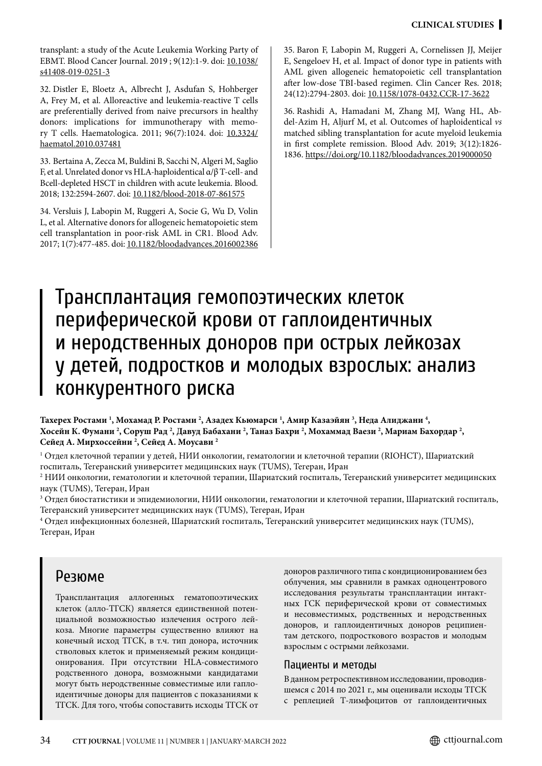transplant: a study of the Acute Leukemia Working Party of EBMT. Blood Cancer Journal. 2019 ; 9(12):1-9. doi: [10.1038/](http://doi.org/10.1038/s41408-019-0251-3) [s41408-019-0251-3](http://doi.org/10.1038/s41408-019-0251-3)

32. Distler E, Bloetz A, Albrecht J, Asdufan S, Hohberger A, Frey M, et al. Alloreactive and leukemia-reactive T cells are preferentially derived from naive precursors in healthy donors: implications for immunotherapy with memory T cells. Haematologica. 2011; 96(7):1024. doi: [10.3324/](https://doi.org/10.3324/haematol.2010.037481) [haematol.2010.037481](https://doi.org/10.3324/haematol.2010.037481)

33. Bertaina A, Zecca M, Buldini B, Sacchi N, Algeri M, Saglio F, et al. Unrelated donor vs HLA-haploidentical α/β T-cell- and Bcell-depleted HSCT in children with acute leukemia. Blood. 2018; 132:2594-2607. doi: [10.1182/blood-2018-07-861575](http://doi.org/10.1182/blood-2018-07-861575)

34. Versluis J, Labopin M, Ruggeri A, Socie G, Wu D, Volin L, et al. Alternative donors for allogeneic hematopoietic stem cell transplantation in poor-risk AML in CR1. Blood Adv. 2017; 1(7):477-485. doi: [10.1182/bloodadvances.2016002386](http://doi.org/10.1182/bloodadvances.2016002386) 35. Baron F, Labopin M, Ruggeri A, Cornelissen JJ, Meijer E, Sengeloev H, et al. Impact of donor type in patients with AML given allogeneic hematopoietic cell transplantation after low-dose TBI-based regimen. Clin Cancer Res. 2018; 24(12):2794-2803. doi: [10.1158/1078-0432.CCR-17-3622](http://doi.org/10.1158/1078-0432.CCR-17-3622)

36. Rashidi A, Hamadani M, Zhang MJ, Wang HL, Abdel-Azim H, Aljurf M, et al. Outcomes of haploidentical *vs* matched sibling transplantation for acute myeloid leukemia in first complete remission. Blood Adv. 2019; 3(12):1826- 1836. [https://doi.org/10.1182/bloodadvances.2019000050](http://doi.org/10.1182/bloodadvances.2019000050)

# Трансплантация гемопоэтических клеток периферической крови от гаплоидентичных и неродственных доноров при острых лейкозах у детей, подростков и молодых взрослых: анализ конкурентного риска

Тахерех Ростами <sup>1</sup>, Мохамад Р. Ростами <sup>2</sup>, Азадех Кьюмарси <sup>1</sup>, Амир Казаэйян <sup>3</sup>, Неда Алиджани <sup>4</sup>, **Хосейн К. Фумани 2 , Соруш Рад 2 , Давуд Бабахани 2 , Таназ Бахри 2 , Мохаммад Ваези 2 , Мариам Бахордар 2 , Сейед А. Мирхоссейни 2 , Сейед А. Моусави 2**

 $^{\rm I}$  Отдел клеточной терапии у детей, НИИ онкологии, гематологии и клеточной терапии (RIOHCT), Шариатский госпиталь, Тегеранский университет медицинских наук (TUMS), Тегеран, Иран

<sup>2</sup> НИИ онкологии, гематологии и клеточной терапии, Шариатский госпиталь, Тегеранский университет медицинских наук (TUMS), Тегеран, Иран

 $^3$  Отдел биостатистики и эпидемиологии, НИИ онкологии, гематологии и клеточной терапии, Шариатский госпиталь, Тегеранский университет медицинских наук (TUMS), Тегеран, Иран

4 Отдел инфекционных болезней, Шариатский госпиталь, Тегеранский университет медицинских наук (TUMS), Тегеран, Иран

# Резюме

Трансплантация аллогенных гематопоэтических клеток (алло-ТГСК) является единственной потенциальной возможностью излечения острого лейкоза. Многие параметры существенно влияют на конечный исход ТГСК, в т.ч. тип донора, источник стволовых клеток и применяемый режим кондиционирования. При отсутствии HLA-совместимого родственного донора, возможными кандидатами могут быть неродственные совместимые или гаплоидентичные доноры для пациентов с показаниями к ТГСК. Для того, чтобы сопоставить исходы ТГСК от доноров различного типа с кондиционированием без облучения, мы сравнили в рамках одноцентрового исследования результаты трансплантации интактных ГСК периферической крови от совместимых и несовместимых, родственных и неродственных доноров, и гаплоидентичных доноров реципиентам детского, подросткового возрастов и молодым взрослым с острыми лейкозами.

#### Пациенты и методы

В данном ретроспективном исследовании, проводившемся с 2014 по 2021 г., мы оценивали исходы ТГСК с реплецией Т-лимфоцитов от гаплоидентичных